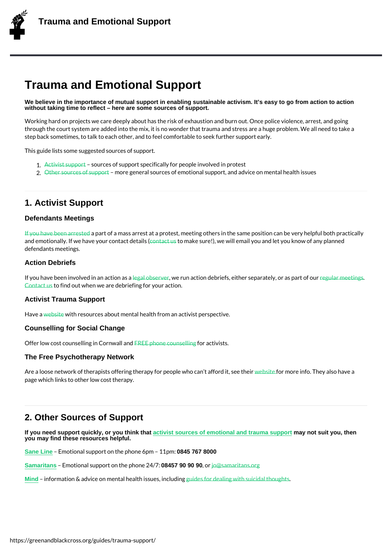# Trauma and Emotional Support

We believe in the importance of mutual support in enabling sustainable activism. It's easy to go from action to action without taking time to reflect – here are some sources of support.

Working hard on projects we care deeply about has the risk of exhaustion and burn out. O through the court system are added into the mix, it is no wonder that trauma and stress a step back sometimes, to talk to each other, and to feel comfortable to seek further suppo

This guide lists some suggested sources of support.

- 1. Activist support ress of support specifically for people involved in protest
- 2. Other sources of snuppeogteneral sources of emotional support, and advice on mental h

## 1. A[ctivist Support](/guides/trauma-support/2-other/)

#### Defendants Meetings

If you have been apart to efd a mass arrest at a protest, meeting others in the same position and emotionally. If we have you put can alled as use (!), we will email you and let you know of defendants meetings.

### [Action Debriefs](/guides/ive-been-arrested/)

If you have been involved lengaad noads,taiwowee nussnaaction debriefs, either separeaguted byr, no eeatsings art o Contact to stind out when we are debriefing for your action.

#### Activist Trauma Support

Have wabsite it resources [about me](/guides/what-is-a-legal-observer/)ntal health from an activist perspe[ctive.](/events/)

#### Counselling for Social Change

Offe[r low](https://www.activist-trauma.net) cost counselling FIRE Cophwall and for a citivists.

#### The Free Psychotherapy Network

A re a loose network of th[erapists offerin](https://www.counsellingforsocialchange.org.uk/activists/)g therapy for puesopslifecenwhoorceaninfoaffTchredyita,Issoe ehath**e** page which links to other low cost therapy.

## 2. Other Sources of Support

| If you need support quickly, or you think that<br>you may find these resources helpful. | activist sources of emotional and trauma support                                        | may not suit you, then |
|-----------------------------------------------------------------------------------------|-----------------------------------------------------------------------------------------|------------------------|
| Sane Line<br>Emotional support on the p0884557686000                                    | 11 p.m.:                                                                                |                        |
| Emotional support on t08457p909009024jht7@samaritans.org<br><b>Samaritans</b>           |                                                                                         |                        |
| Mind                                                                                    | information & advice on mental hemaildhesis sume de ailnio bu diinthes uicidal thoughts |                        |